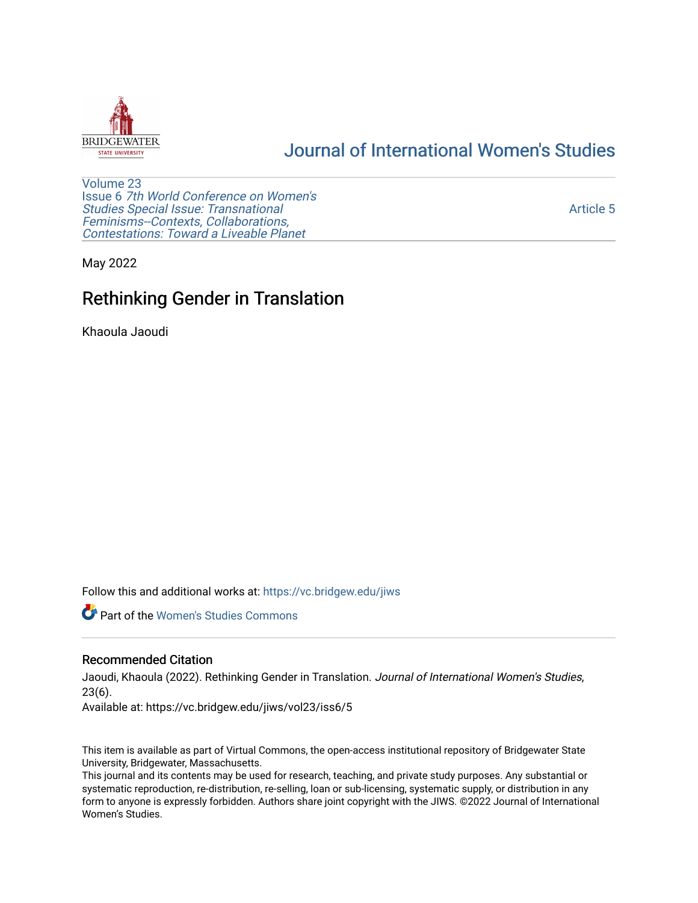

# [Journal of International Women's Studies](https://vc.bridgew.edu/jiws)

[Volume 23](https://vc.bridgew.edu/jiws/vol23) Issue 6 [7th World Conference on Women's](https://vc.bridgew.edu/jiws/vol23/iss6)  [Studies Special Issue: Transnational](https://vc.bridgew.edu/jiws/vol23/iss6)  [Feminisms--Contexts, Collaborations,](https://vc.bridgew.edu/jiws/vol23/iss6)  [Contestations: Toward a Liveable Planet](https://vc.bridgew.edu/jiws/vol23/iss6) 

[Article 5](https://vc.bridgew.edu/jiws/vol23/iss6/5) 

May 2022

# Rethinking Gender in Translation

Khaoula Jaoudi

Follow this and additional works at: [https://vc.bridgew.edu/jiws](https://vc.bridgew.edu/jiws?utm_source=vc.bridgew.edu%2Fjiws%2Fvol23%2Fiss6%2F5&utm_medium=PDF&utm_campaign=PDFCoverPages)

**C** Part of the Women's Studies Commons

#### Recommended Citation

Jaoudi, Khaoula (2022). Rethinking Gender in Translation. Journal of International Women's Studies, 23(6).

Available at: https://vc.bridgew.edu/jiws/vol23/iss6/5

This item is available as part of Virtual Commons, the open-access institutional repository of Bridgewater State University, Bridgewater, Massachusetts.

This journal and its contents may be used for research, teaching, and private study purposes. Any substantial or systematic reproduction, re-distribution, re-selling, loan or sub-licensing, systematic supply, or distribution in any form to anyone is expressly forbidden. Authors share joint copyright with the JIWS. ©2022 Journal of International Women's Studies.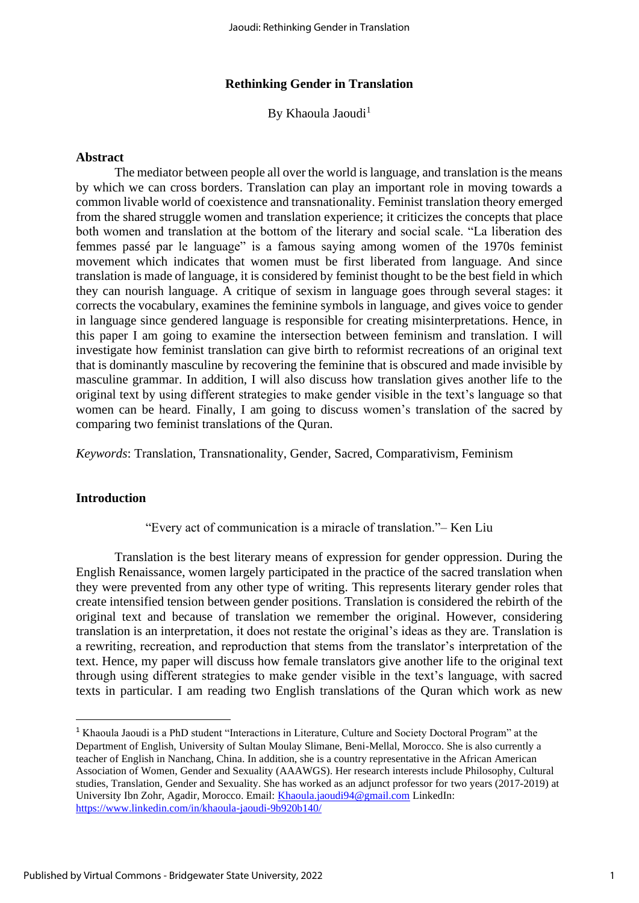# **Rethinking Gender in Translation**

By Khaoula Jaoudi<sup>1</sup>

#### **Abstract**

The mediator between people all over the world is language, and translation is the means by which we can cross borders. Translation can play an important role in moving towards a common livable world of coexistence and transnationality. Feminist translation theory emerged from the shared struggle women and translation experience; it criticizes the concepts that place both women and translation at the bottom of the literary and social scale. "La liberation des femmes passé par le language" is a famous saying among women of the 1970s feminist movement which indicates that women must be first liberated from language. And since translation is made of language, it is considered by feminist thought to be the best field in which they can nourish language. A critique of sexism in language goes through several stages: it corrects the vocabulary, examines the feminine symbols in language, and gives voice to gender in language since gendered language is responsible for creating misinterpretations. Hence, in this paper I am going to examine the intersection between feminism and translation. I will investigate how feminist translation can give birth to reformist recreations of an original text that is dominantly masculine by recovering the feminine that is obscured and made invisible by masculine grammar. In addition, I will also discuss how translation gives another life to the original text by using different strategies to make gender visible in the text's language so that women can be heard. Finally, I am going to discuss women's translation of the sacred by comparing two feminist translations of the Quran.

*Keywords*: Translation, Transnationality, Gender, Sacred, Comparativism, Feminism

# **Introduction**

# "Every act of communication is a miracle of translation."– Ken Liu

Translation is the best literary means of expression for gender oppression. During the English Renaissance, women largely participated in the practice of the sacred translation when they were prevented from any other type of writing. This represents literary gender roles that create intensified tension between gender positions. Translation is considered the rebirth of the original text and because of translation we remember the original. However, considering translation is an interpretation, it does not restate the original's ideas as they are. Translation is a rewriting, recreation, and reproduction that stems from the translator's interpretation of the text. Hence, my paper will discuss how female translators give another life to the original text through using different strategies to make gender visible in the text's language, with sacred texts in particular. I am reading two English translations of the Quran which work as new

<sup>&</sup>lt;sup>1</sup> Khaoula Jaoudi is a PhD student "Interactions in Literature, Culture and Society Doctoral Program" at the Department of English, University of Sultan Moulay Slimane, Beni-Mellal, Morocco. She is also currently a teacher of English in Nanchang, China. In addition, she is a country representative in the African American Association of Women, Gender and Sexuality (AAAWGS). Her research interests include Philosophy, Cultural studies, Translation, Gender and Sexuality. She has worked as an adjunct professor for two years (2017-2019) at University Ibn Zohr, Agadir, Morocco. Email: [Khaoula.jaoudi94@gmail.com](mailto:Khaoula.jaoudi94@gmail.com) LinkedIn: <https://www.linkedin.com/in/khaoula-jaoudi-9b920b140/>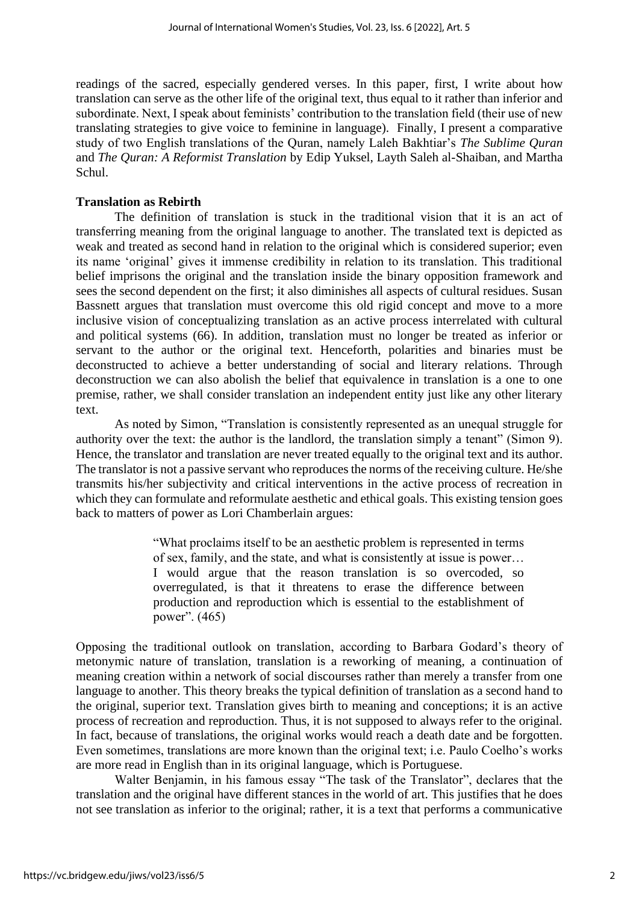readings of the sacred, especially gendered verses. In this paper, first, I write about how translation can serve as the other life of the original text, thus equal to it rather than inferior and subordinate. Next, I speak about feminists' contribution to the translation field (their use of new translating strategies to give voice to feminine in language). Finally, I present a comparative study of two English translations of the Quran, namely Laleh Bakhtiar's *The Sublime Quran* and *The Quran: A Reformist Translation* by Edip Yuksel, Layth Saleh al-Shaiban, and Martha Schul.

# **Translation as Rebirth**

The definition of translation is stuck in the traditional vision that it is an act of transferring meaning from the original language to another. The translated text is depicted as weak and treated as second hand in relation to the original which is considered superior; even its name 'original' gives it immense credibility in relation to its translation. This traditional belief imprisons the original and the translation inside the binary opposition framework and sees the second dependent on the first; it also diminishes all aspects of cultural residues. Susan Bassnett argues that translation must overcome this old rigid concept and move to a more inclusive vision of conceptualizing translation as an active process interrelated with cultural and political systems (66). In addition, translation must no longer be treated as inferior or servant to the author or the original text. Henceforth, polarities and binaries must be deconstructed to achieve a better understanding of social and literary relations. Through deconstruction we can also abolish the belief that equivalence in translation is a one to one premise, rather, we shall consider translation an independent entity just like any other literary text.

As noted by Simon, "Translation is consistently represented as an unequal struggle for authority over the text: the author is the landlord, the translation simply a tenant" (Simon 9). Hence, the translator and translation are never treated equally to the original text and its author. The translator is not a passive servant who reproduces the norms of the receiving culture. He/she transmits his/her subjectivity and critical interventions in the active process of recreation in which they can formulate and reformulate aesthetic and ethical goals. This existing tension goes back to matters of power as Lori Chamberlain argues:

> "What proclaims itself to be an aesthetic problem is represented in terms of sex, family, and the state, and what is consistently at issue is power… I would argue that the reason translation is so overcoded, so overregulated, is that it threatens to erase the difference between production and reproduction which is essential to the establishment of power". (465)

Opposing the traditional outlook on translation, according to Barbara Godard's theory of metonymic nature of translation, translation is a reworking of meaning, a continuation of meaning creation within a network of social discourses rather than merely a transfer from one language to another. This theory breaks the typical definition of translation as a second hand to the original, superior text. Translation gives birth to meaning and conceptions; it is an active process of recreation and reproduction. Thus, it is not supposed to always refer to the original. In fact, because of translations, the original works would reach a death date and be forgotten. Even sometimes, translations are more known than the original text; i.e. Paulo Coelho's works are more read in English than in its original language, which is Portuguese.

Walter Benjamin, in his famous essay "The task of the Translator", declares that the translation and the original have different stances in the world of art. This justifies that he does not see translation as inferior to the original; rather, it is a text that performs a communicative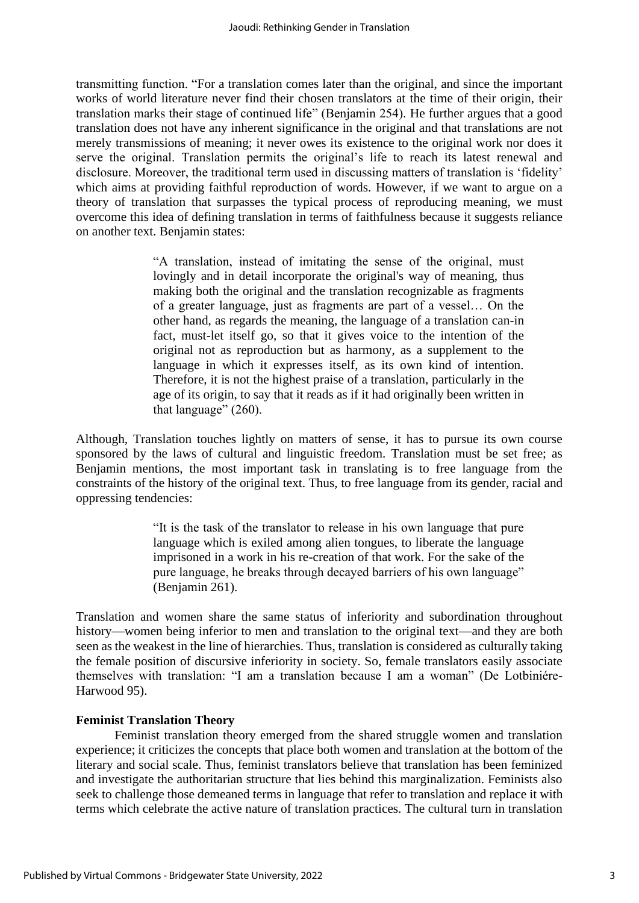transmitting function. "For a translation comes later than the original, and since the important works of world literature never find their chosen translators at the time of their origin, their translation marks their stage of continued life" (Benjamin 254). He further argues that a good translation does not have any inherent significance in the original and that translations are not merely transmissions of meaning; it never owes its existence to the original work nor does it serve the original. Translation permits the original's life to reach its latest renewal and disclosure. Moreover, the traditional term used in discussing matters of translation is 'fidelity' which aims at providing faithful reproduction of words. However, if we want to argue on a theory of translation that surpasses the typical process of reproducing meaning, we must overcome this idea of defining translation in terms of faithfulness because it suggests reliance on another text. Benjamin states:

> "A translation, instead of imitating the sense of the original, must lovingly and in detail incorporate the original's way of meaning, thus making both the original and the translation recognizable as fragments of a greater language, just as fragments are part of a vessel… On the other hand, as regards the meaning, the language of a translation can-in fact, must-let itself go, so that it gives voice to the intention of the original not as reproduction but as harmony, as a supplement to the language in which it expresses itself, as its own kind of intention. Therefore, it is not the highest praise of a translation, particularly in the age of its origin, to say that it reads as if it had originally been written in that language" (260).

Although, Translation touches lightly on matters of sense, it has to pursue its own course sponsored by the laws of cultural and linguistic freedom. Translation must be set free; as Benjamin mentions, the most important task in translating is to free language from the constraints of the history of the original text. Thus, to free language from its gender, racial and oppressing tendencies:

> "It is the task of the translator to release in his own language that pure language which is exiled among alien tongues, to liberate the language imprisoned in a work in his re-creation of that work. For the sake of the pure language, he breaks through decayed barriers of his own language" (Benjamin 261).

Translation and women share the same status of inferiority and subordination throughout history—women being inferior to men and translation to the original text—and they are both seen as the weakest in the line of hierarchies. Thus, translation is considered as culturally taking the female position of discursive inferiority in society. So, female translators easily associate themselves with translation: "I am a translation because I am a woman" (De Lotbiniére-Harwood 95).

#### **Feminist Translation Theory**

Feminist translation theory emerged from the shared struggle women and translation experience; it criticizes the concepts that place both women and translation at the bottom of the literary and social scale. Thus, feminist translators believe that translation has been feminized and investigate the authoritarian structure that lies behind this marginalization. Feminists also seek to challenge those demeaned terms in language that refer to translation and replace it with terms which celebrate the active nature of translation practices. The cultural turn in translation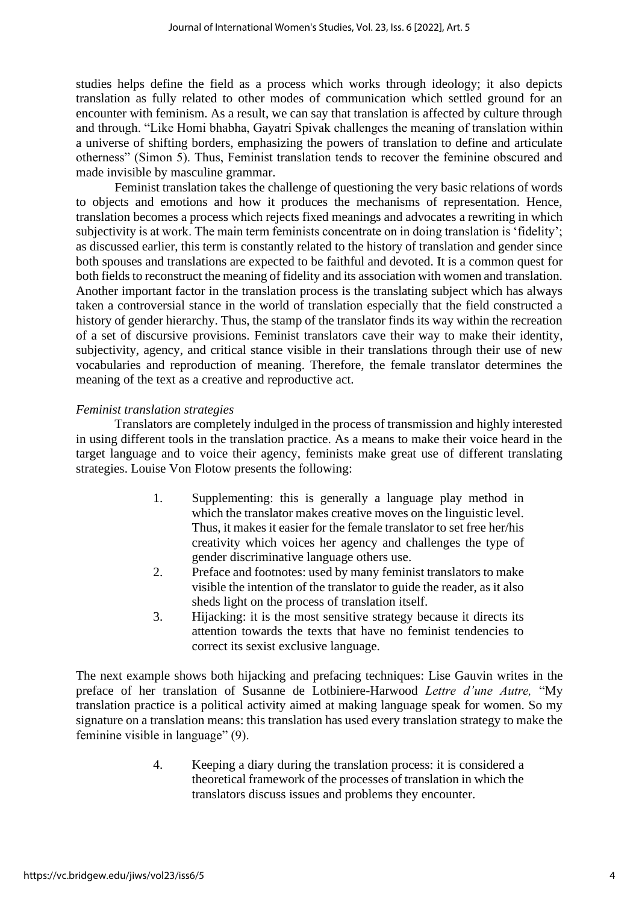studies helps define the field as a process which works through ideology; it also depicts translation as fully related to other modes of communication which settled ground for an encounter with feminism. As a result, we can say that translation is affected by culture through and through. "Like Homi bhabha, Gayatri Spivak challenges the meaning of translation within a universe of shifting borders, emphasizing the powers of translation to define and articulate otherness" (Simon 5). Thus, Feminist translation tends to recover the feminine obscured and made invisible by masculine grammar.

Feminist translation takes the challenge of questioning the very basic relations of words to objects and emotions and how it produces the mechanisms of representation. Hence, translation becomes a process which rejects fixed meanings and advocates a rewriting in which subjectivity is at work. The main term feminists concentrate on in doing translation is 'fidelity'; as discussed earlier, this term is constantly related to the history of translation and gender since both spouses and translations are expected to be faithful and devoted. It is a common quest for both fields to reconstruct the meaning of fidelity and its association with women and translation. Another important factor in the translation process is the translating subject which has always taken a controversial stance in the world of translation especially that the field constructed a history of gender hierarchy. Thus, the stamp of the translator finds its way within the recreation of a set of discursive provisions. Feminist translators cave their way to make their identity, subjectivity, agency, and critical stance visible in their translations through their use of new vocabularies and reproduction of meaning. Therefore, the female translator determines the meaning of the text as a creative and reproductive act.

# *Feminist translation strategies*

Translators are completely indulged in the process of transmission and highly interested in using different tools in the translation practice. As a means to make their voice heard in the target language and to voice their agency, feminists make great use of different translating strategies. Louise Von Flotow presents the following:

- 1. Supplementing: this is generally a language play method in which the translator makes creative moves on the linguistic level. Thus, it makes it easier for the female translator to set free her/his creativity which voices her agency and challenges the type of gender discriminative language others use.
- 2. Preface and footnotes: used by many feminist translators to make visible the intention of the translator to guide the reader, as it also sheds light on the process of translation itself.
- 3. Hijacking: it is the most sensitive strategy because it directs its attention towards the texts that have no feminist tendencies to correct its sexist exclusive language.

The next example shows both hijacking and prefacing techniques: Lise Gauvin writes in the preface of her translation of Susanne de Lotbiniere-Harwood *Lettre d'une Autre,* "My translation practice is a political activity aimed at making language speak for women. So my signature on a translation means: this translation has used every translation strategy to make the feminine visible in language" (9).

> 4. Keeping a diary during the translation process: it is considered a theoretical framework of the processes of translation in which the translators discuss issues and problems they encounter.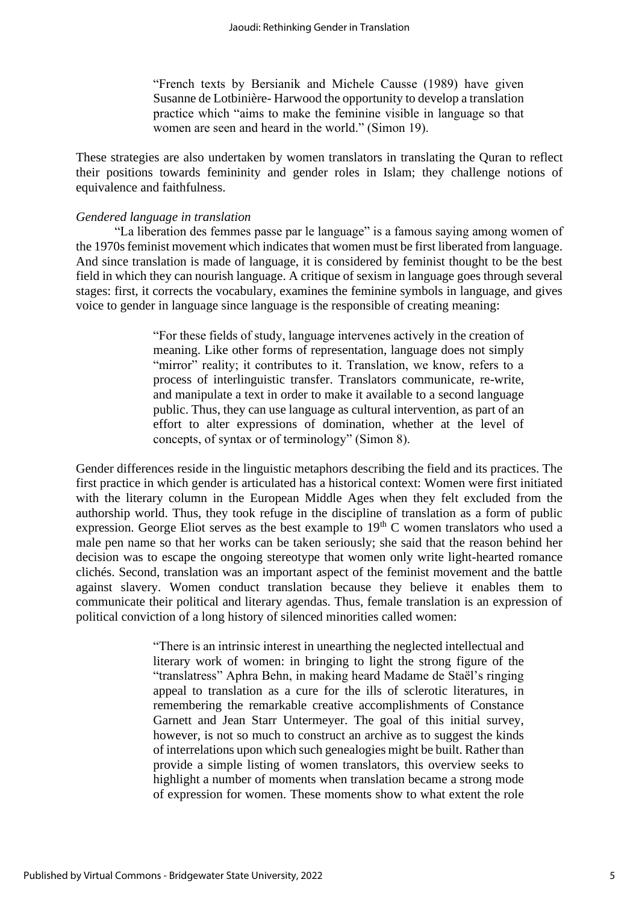"French texts by Bersianik and Michele Causse (1989) have given Susanne de Lotbinière- Harwood the opportunity to develop a translation practice which "aims to make the feminine visible in language so that women are seen and heard in the world." (Simon 19).

These strategies are also undertaken by women translators in translating the Quran to reflect their positions towards femininity and gender roles in Islam; they challenge notions of equivalence and faithfulness.

#### *Gendered language in translation*

"La liberation des femmes passe par le language" is a famous saying among women of the 1970s feminist movement which indicates that women must be first liberated from language. And since translation is made of language, it is considered by feminist thought to be the best field in which they can nourish language. A critique of sexism in language goes through several stages: first, it corrects the vocabulary, examines the feminine symbols in language, and gives voice to gender in language since language is the responsible of creating meaning:

> "For these fields of study, language intervenes actively in the creation of meaning. Like other forms of representation, language does not simply "mirror" reality; it contributes to it. Translation, we know, refers to a process of interlinguistic transfer. Translators communicate, re-write, and manipulate a text in order to make it available to a second language public. Thus, they can use language as cultural intervention, as part of an effort to alter expressions of domination, whether at the level of concepts, of syntax or of terminology" (Simon 8).

Gender differences reside in the linguistic metaphors describing the field and its practices. The first practice in which gender is articulated has a historical context: Women were first initiated with the literary column in the European Middle Ages when they felt excluded from the authorship world. Thus, they took refuge in the discipline of translation as a form of public expression. George Eliot serves as the best example to  $19<sup>th</sup>$  C women translators who used a male pen name so that her works can be taken seriously; she said that the reason behind her decision was to escape the ongoing stereotype that women only write light-hearted romance clichés. Second, translation was an important aspect of the feminist movement and the battle against slavery. Women conduct translation because they believe it enables them to communicate their political and literary agendas. Thus, female translation is an expression of political conviction of a long history of silenced minorities called women:

> "There is an intrinsic interest in unearthing the neglected intellectual and literary work of women: in bringing to light the strong figure of the "translatress" Aphra Behn, in making heard Madame de Staël's ringing appeal to translation as a cure for the ills of sclerotic literatures, in remembering the remarkable creative accomplishments of Constance Garnett and Jean Starr Untermeyer. The goal of this initial survey, however, is not so much to construct an archive as to suggest the kinds of interrelations upon which such genealogies might be built. Rather than provide a simple listing of women translators, this overview seeks to highlight a number of moments when translation became a strong mode of expression for women. These moments show to what extent the role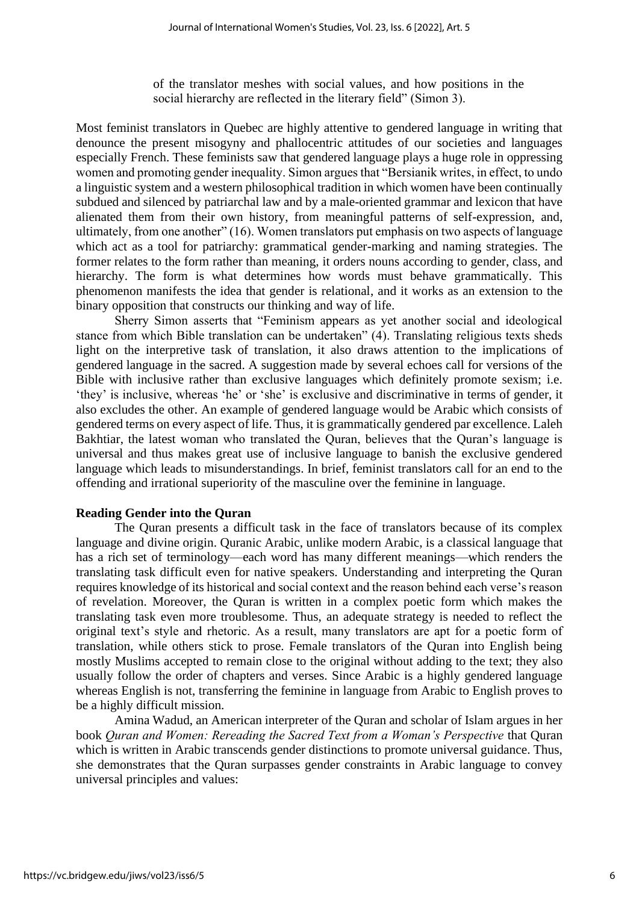of the translator meshes with social values, and how positions in the social hierarchy are reflected in the literary field" (Simon 3).

Most feminist translators in Quebec are highly attentive to gendered language in writing that denounce the present misogyny and phallocentric attitudes of our societies and languages especially French. These feminists saw that gendered language plays a huge role in oppressing women and promoting gender inequality. Simon argues that "Bersianik writes, in effect, to undo a linguistic system and a western philosophical tradition in which women have been continually subdued and silenced by patriarchal law and by a male-oriented grammar and lexicon that have alienated them from their own history, from meaningful patterns of self-expression, and, ultimately, from one another" (16). Women translators put emphasis on two aspects of language which act as a tool for patriarchy: grammatical gender-marking and naming strategies. The former relates to the form rather than meaning, it orders nouns according to gender, class, and hierarchy. The form is what determines how words must behave grammatically. This phenomenon manifests the idea that gender is relational, and it works as an extension to the binary opposition that constructs our thinking and way of life.

Sherry Simon asserts that "Feminism appears as yet another social and ideological stance from which Bible translation can be undertaken" (4). Translating religious texts sheds light on the interpretive task of translation, it also draws attention to the implications of gendered language in the sacred. A suggestion made by several echoes call for versions of the Bible with inclusive rather than exclusive languages which definitely promote sexism; i.e. 'they' is inclusive, whereas 'he' or 'she' is exclusive and discriminative in terms of gender, it also excludes the other. An example of gendered language would be Arabic which consists of gendered terms on every aspect of life. Thus, it is grammatically gendered par excellence. Laleh Bakhtiar, the latest woman who translated the Quran, believes that the Quran's language is universal and thus makes great use of inclusive language to banish the exclusive gendered language which leads to misunderstandings. In brief, feminist translators call for an end to the offending and irrational superiority of the masculine over the feminine in language.

# **Reading Gender into the Quran**

The Quran presents a difficult task in the face of translators because of its complex language and divine origin. Quranic Arabic, unlike modern Arabic, is a classical language that has a rich set of terminology—each word has many different meanings—which renders the translating task difficult even for native speakers. Understanding and interpreting the Quran requires knowledge of its historical and social context and the reason behind each verse's reason of revelation. Moreover, the Quran is written in a complex poetic form which makes the translating task even more troublesome. Thus, an adequate strategy is needed to reflect the original text's style and rhetoric. As a result, many translators are apt for a poetic form of translation, while others stick to prose. Female translators of the Quran into English being mostly Muslims accepted to remain close to the original without adding to the text; they also usually follow the order of chapters and verses. Since Arabic is a highly gendered language whereas English is not, transferring the feminine in language from Arabic to English proves to be a highly difficult mission.

Amina Wadud, an American interpreter of the Quran and scholar of Islam argues in her book *Quran and Women: Rereading the Sacred Text from a Woman's Perspective* that Quran which is written in Arabic transcends gender distinctions to promote universal guidance. Thus, she demonstrates that the Quran surpasses gender constraints in Arabic language to convey universal principles and values: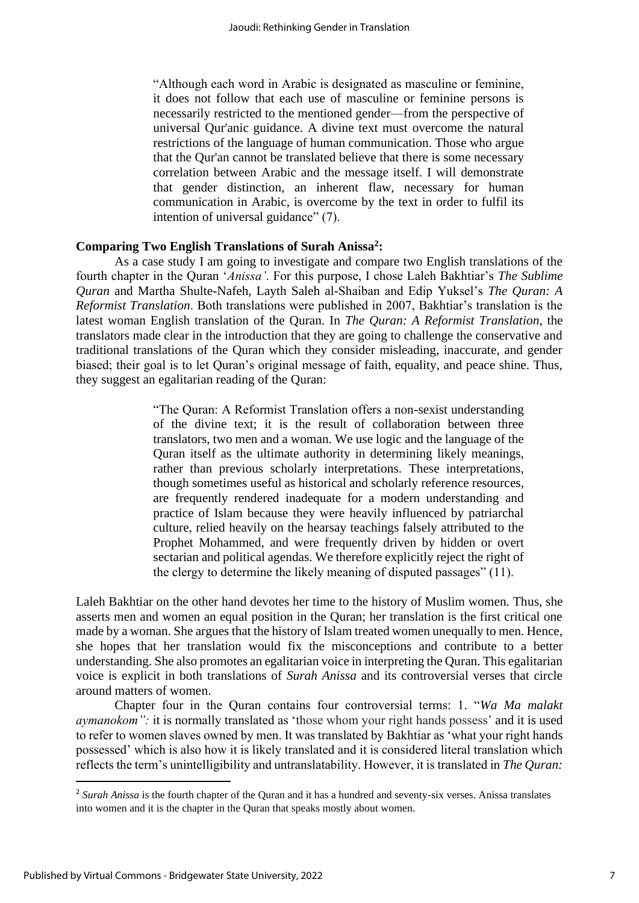"Although each word in Arabic is designated as masculine or feminine, it does not follow that each use of masculine or feminine persons is necessarily restricted to the mentioned gender—from the perspective of universal Qur'anic guidance. A divine text must overcome the natural restrictions of the language of human communication. Those who argue that the Qur'an cannot be translated believe that there is some necessary correlation between Arabic and the message itself. I will demonstrate that gender distinction, an inherent flaw, necessary for human communication in Arabic, is overcome by the text in order to fulfil its intention of universal guidance" (7).

# **Comparing Two English Translations of Surah Anissa<sup>2</sup> :**

As a case study I am going to investigate and compare two English translations of the fourth chapter in the Quran '*Anissa'*. For this purpose, I chose Laleh Bakhtiar's *The Sublime Quran* and Martha Shulte-Nafeh, Layth Saleh al-Shaiban and Edip Yuksel's *The Quran: A Reformist Translation*. Both translations were published in 2007, Bakhtiar's translation is the latest woman English translation of the Quran. In *The Quran: A Reformist Translation*, the translators made clear in the introduction that they are going to challenge the conservative and traditional translations of the Quran which they consider misleading, inaccurate, and gender biased; their goal is to let Quran's original message of faith, equality, and peace shine. Thus, they suggest an egalitarian reading of the Quran:

> "The Quran: A Reformist Translation offers a non-sexist understanding of the divine text; it is the result of collaboration between three translators, two men and a woman. We use logic and the language of the Quran itself as the ultimate authority in determining likely meanings, rather than previous scholarly interpretations. These interpretations, though sometimes useful as historical and scholarly reference resources, are frequently rendered inadequate for a modern understanding and practice of Islam because they were heavily influenced by patriarchal culture, relied heavily on the hearsay teachings falsely attributed to the Prophet Mohammed, and were frequently driven by hidden or overt sectarian and political agendas. We therefore explicitly reject the right of the clergy to determine the likely meaning of disputed passages" (11).

Laleh Bakhtiar on the other hand devotes her time to the history of Muslim women. Thus, she asserts men and women an equal position in the Quran; her translation is the first critical one made by a woman. She argues that the history of Islam treated women unequally to men. Hence, she hopes that her translation would fix the misconceptions and contribute to a better understanding. She also promotes an egalitarian voice in interpreting the Quran. This egalitarian voice is explicit in both translations of *Surah Anissa* and its controversial verses that circle around matters of women.

Chapter four in the Quran contains four controversial terms: 1. "*Wa Ma malakt aymanokom*": it is normally translated as 'those whom your right hands possess' and it is used to refer to women slaves owned by men. It was translated by Bakhtiar as 'what your right hands possessed' which is also how it is likely translated and it is considered literal translation which reflects the term's unintelligibility and untranslatability. However, it is translated in *The Quran:* 

<sup>&</sup>lt;sup>2</sup> Surah Anissa is the fourth chapter of the Quran and it has a hundred and seventy-six verses. Anissa translates into women and it is the chapter in the Quran that speaks mostly about women.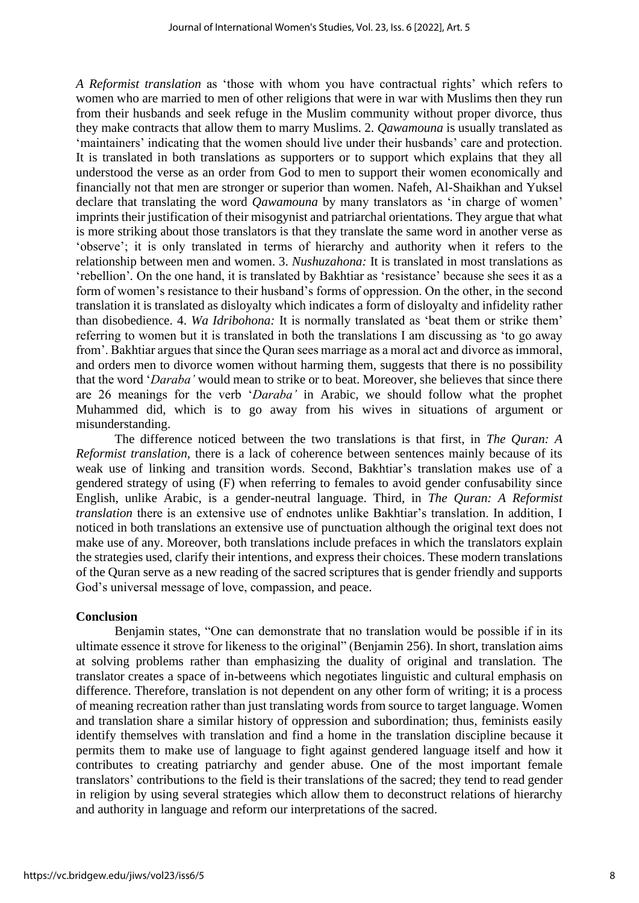*A Reformist translation* as 'those with whom you have contractual rights' which refers to women who are married to men of other religions that were in war with Muslims then they run from their husbands and seek refuge in the Muslim community without proper divorce, thus they make contracts that allow them to marry Muslims. 2. *Qawamouna* is usually translated as 'maintainers' indicating that the women should live under their husbands' care and protection. It is translated in both translations as supporters or to support which explains that they all understood the verse as an order from God to men to support their women economically and financially not that men are stronger or superior than women. Nafeh, Al-Shaikhan and Yuksel declare that translating the word *Qawamouna* by many translators as 'in charge of women' imprints their justification of their misogynist and patriarchal orientations. They argue that what is more striking about those translators is that they translate the same word in another verse as 'observe'; it is only translated in terms of hierarchy and authority when it refers to the relationship between men and women. 3. *Nushuzahona:* It is translated in most translations as 'rebellion'*.* On the one hand, it is translated by Bakhtiar as 'resistance' because she sees it as a form of women's resistance to their husband's forms of oppression. On the other, in the second translation it is translated as disloyalty which indicates a form of disloyalty and infidelity rather than disobedience. 4. *Wa Idribohona:* It is normally translated as 'beat them or strike them' referring to women but it is translated in both the translations I am discussing as 'to go away from'. Bakhtiar argues that since the Quran sees marriage as a moral act and divorce as immoral, and orders men to divorce women without harming them, suggests that there is no possibility that the word '*Daraba'* would mean to strike or to beat. Moreover, she believes that since there are 26 meanings for the verb '*Daraba'* in Arabic, we should follow what the prophet Muhammed did, which is to go away from his wives in situations of argument or misunderstanding.

The difference noticed between the two translations is that first, in *The Quran: A Reformist translation,* there is a lack of coherence between sentences mainly because of its weak use of linking and transition words. Second, Bakhtiar's translation makes use of a gendered strategy of using (F) when referring to females to avoid gender confusability since English, unlike Arabic, is a gender-neutral language. Third, in *The Quran: A Reformist translation* there is an extensive use of endnotes unlike Bakhtiar's translation. In addition, I noticed in both translations an extensive use of punctuation although the original text does not make use of any. Moreover, both translations include prefaces in which the translators explain the strategies used, clarify their intentions, and express their choices. These modern translations of the Quran serve as a new reading of the sacred scriptures that is gender friendly and supports God's universal message of love, compassion, and peace.

#### **Conclusion**

Benjamin states, "One can demonstrate that no translation would be possible if in its ultimate essence it strove for likeness to the original" (Benjamin 256). In short, translation aims at solving problems rather than emphasizing the duality of original and translation. The translator creates a space of in-betweens which negotiates linguistic and cultural emphasis on difference. Therefore, translation is not dependent on any other form of writing; it is a process of meaning recreation rather than just translating words from source to target language. Women and translation share a similar history of oppression and subordination; thus, feminists easily identify themselves with translation and find a home in the translation discipline because it permits them to make use of language to fight against gendered language itself and how it contributes to creating patriarchy and gender abuse. One of the most important female translators' contributions to the field is their translations of the sacred; they tend to read gender in religion by using several strategies which allow them to deconstruct relations of hierarchy and authority in language and reform our interpretations of the sacred.